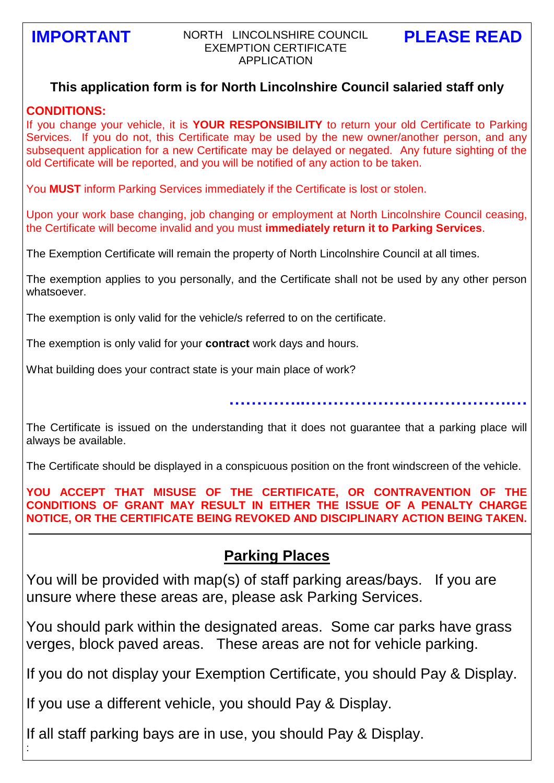### **IMPORTANT PLEASE READ** NORTH LINCOLNSHIRE COUNCIL EXEMPTION CERTIFICATE APPLICATION

## **This application form is for North Lincolnshire Council salaried staff only**

#### **CONDITIONS:**

:

If you change your vehicle, it is **YOUR RESPONSIBILITY** to return your old Certificate to Parking Services. If you do not, this Certificate may be used by the new owner/another person, and any subsequent application for a new Certificate may be delayed or negated. Any future sighting of the old Certificate will be reported, and you will be notified of any action to be taken.

You **MUST** inform Parking Services immediately if the Certificate is lost or stolen.

Upon your work base changing, job changing or employment at North Lincolnshire Council ceasing, the Certificate will become invalid and you must **immediately return it to Parking Services**.

The Exemption Certificate will remain the property of North Lincolnshire Council at all times.

The exemption applies to you personally, and the Certificate shall not be used by any other person whatsoever.

The exemption is only valid for the vehicle/s referred to on the certificate.

The exemption is only valid for your **contract** work days and hours.

What building does your contract state is your main place of work?

**…………..……………………………….…**

The Certificate is issued on the understanding that it does not guarantee that a parking place will always be available.

The Certificate should be displayed in a conspicuous position on the front windscreen of the vehicle.

**YOU ACCEPT THAT MISUSE OF THE CERTIFICATE, OR CONTRAVENTION OF THE CONDITIONS OF GRANT MAY RESULT IN EITHER THE ISSUE OF A PENALTY CHARGE NOTICE, OR THE CERTIFICATE BEING REVOKED AND DISCIPLINARY ACTION BEING TAKEN.**

# **Parking Places**

You will be provided with map(s) of staff parking areas/bays. If you are unsure where these areas are, please ask Parking Services.

You should park within the designated areas. Some car parks have grass verges, block paved areas. These areas are not for vehicle parking.

If you do not display your Exemption Certificate, you should Pay & Display.

If you use a different vehicle, you should Pay & Display.

If all staff parking bays are in use, you should Pay & Display.